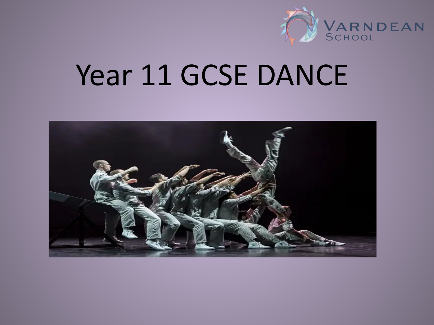

# Year 11 GCSE DANCE

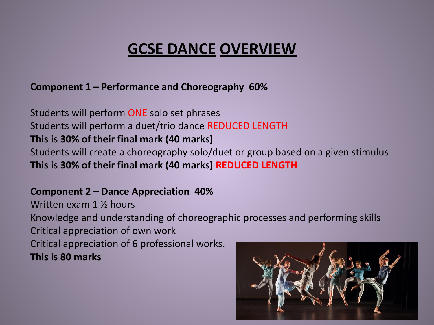#### **GCSE DANCE OVERVIEW**

**Component 1 – Performance and Choreography 60%** 

Students will perform ONE solo set phrases Students will perform a duet/trio dance REDUCED LENGTH **This is 30% of their final mark (40 marks)**  Students will create a choreography solo/duet or group based on a given stimulus **This is 30% of their final mark (40 marks) REDUCED LENGTH** 

**Component 2 – Dance Appreciation 40%** 

Written exam 1 ½ hours Knowledge and understanding of choreographic processes and performing skills Critical appreciation of own work Critical appreciation of 6 professional works. **This is 80 marks** 

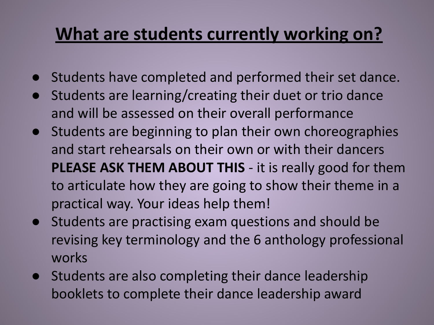## **What are students currently working on?**

- Students have completed and performed their set dance.
- Students are learning/creating their duet or trio dance and will be assessed on their overall performance
- Students are beginning to plan their own choreographies and start rehearsals on their own or with their dancers **PLEASE ASK THEM ABOUT THIS** - it is really good for them to articulate how they are going to show their theme in a practical way. Your ideas help them!
- Students are practising exam questions and should be revising key terminology and the 6 anthology professional works
- Students are also completing their dance leadership booklets to complete their dance leadership award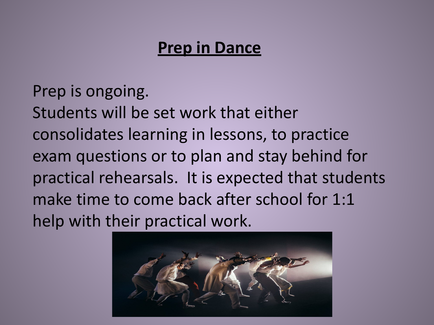#### **Prep in Dance**

Prep is ongoing. Students will be set work that either consolidates learning in lessons, to practice exam questions or to plan and stay behind for practical rehearsals. It is expected that students make time to come back after school for 1:1 help with their practical work.

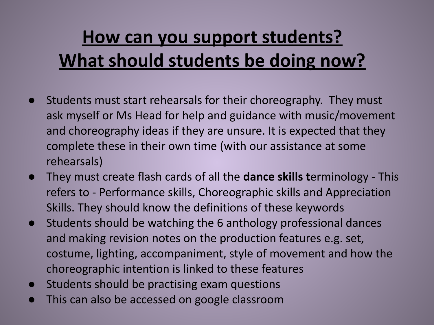# **How can you support students? What should students be doing now?**

- Students must start rehearsals for their choreography. They must ask myself or Ms Head for help and guidance with music/movement and choreography ideas if they are unsure. It is expected that they complete these in their own time (with our assistance at some rehearsals)
- They must create flash cards of all the **dance skills t**erminology This refers to - Performance skills, Choreographic skills and Appreciation Skills. They should know the definitions of these keywords
- Students should be watching the 6 anthology professional dances and making revision notes on the production features e.g. set, costume, lighting, accompaniment, style of movement and how the choreographic intention is linked to these features
- Students should be practising exam questions
- This can also be accessed on google classroom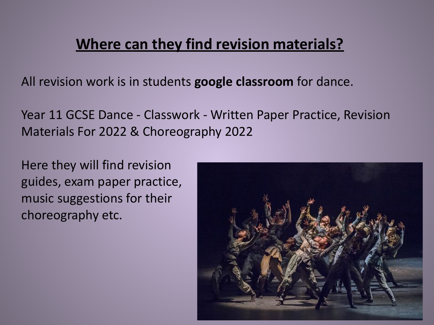#### **Where can they find revision materials?**

All revision work is in students **google classroom** for dance.

Year 11 GCSE Dance - Classwork - Written Paper Practice, Revision Materials For 2022 & Choreography 2022

Here they will find revision guides, exam paper practice, music suggestions for their choreography etc.